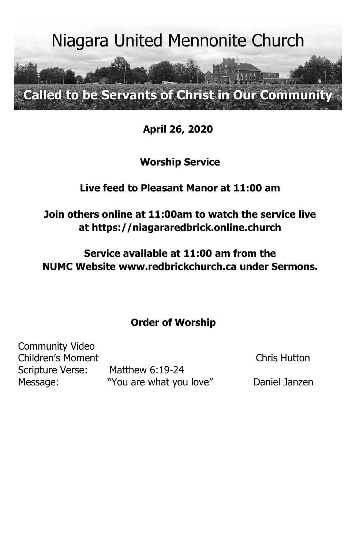

**April 26, 2020**

**Worship Service**

# **Live feed to Pleasant Manor at 11:00 am**

**Join others online at 11:00am to watch the service live at [https://niagararedbrick.online.church](https://niagararedbrick.online.church/)**

**Service available at 11:00 am from the NUMC Website [www.redbrickchurch.ca](http://www.redbrickchurch.ca/) under Sermons.**

# **Order of Worship**

Community Video Children's Moment Chris Hutton Scripture Verse: Matthew 6:19-24

Message: "You are what you love" Daniel Janzen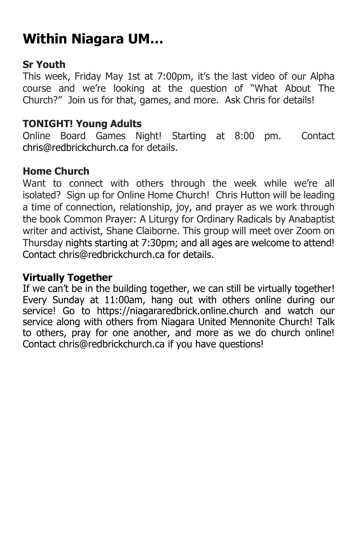# **Within Niagara UM…**

### **Sr Youth**

This week, Friday May 1st at 7:00pm, it's the last video of our Alpha course and we're looking at the question of "What About The Church?" Join us for that, games, and more. Ask Chris for details!

#### **TONIGHT! Young Adults**

Online Board Games Night! Starting at 8:00 pm. Contact [chris@redbrickchurch.ca](mailto:chris@redbrickchurch.ca) for details.

#### **Home Church**

Want to connect with others through the week while we're all isolated? Sign up for Online Home Church! Chris Hutton will be leading a time of connection, relationship, joy, and prayer as we work through the book Common Prayer: A Liturgy for Ordinary Radicals by Anabaptist writer and activist, Shane Claiborne. This group will meet over Zoom on Thursday nights starting at 7:30pm; and all ages are welcome to attend! Contact [chris@redbrickchurch.ca](mailto:chris@redbrickchurch.ca) for details.

#### **Virtually Together**

If we can't be in the building together, we can still be virtually together! Every Sunday at 11:00am, hang out with others online during our service! Go to [https://niagararedbrick.online.church](https://niagararedbrick.online.church/) and watch our service along with others from Niagara United Mennonite Church! Talk to others, pray for one another, and more as we do church online! Contact chris@redbrickchurch.ca if you have questions!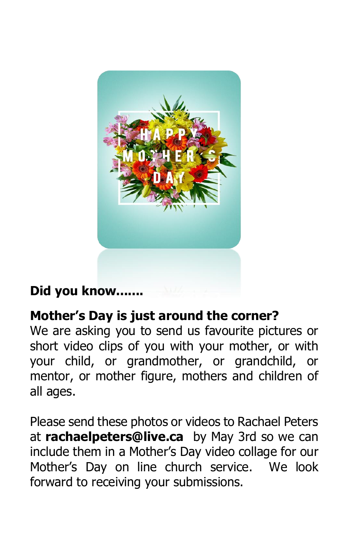

# **Did you know.......**

# **Mother's Day is just around the corner?**

We are asking you to send us favourite pictures or short video clips of you with your mother, or with your child, or grandmother, or grandchild, or mentor, or mother figure, mothers and children of all ages.

Please send these photos or videos to Rachael Peters at **rachaelpeters@live.ca** by May 3rd so we can include them in a Mother's Day video collage for our Mother's Day on line church service. We look forward to receiving your submissions.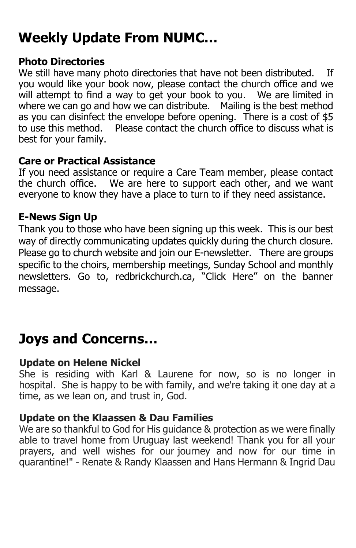# **Weekly Update From NUMC…**

#### **Photo Directories**

We still have many photo directories that have not been distributed. If you would like your book now, please contact the church office and we will attempt to find a way to get your book to you. We are limited in where we can go and how we can distribute. Mailing is the best method as you can disinfect the envelope before opening. There is a cost of \$5 to use this method. Please contact the church office to discuss what is best for your family.

#### **Care or Practical Assistance**

If you need assistance or require a Care Team member, please contact the church office. We are here to support each other, and we want everyone to know they have a place to turn to if they need assistance.

#### **E-News Sign Up**

Thank you to those who have been signing up this week. This is our best way of directly communicating updates quickly during the church closure. Please go to church website and join our E-newsletter. There are groups specific to the choirs, membership meetings, Sunday School and monthly newsletters. Go to, redbrickchurch.ca, "Click Here" on the banner message.

# **Joys and Concerns…**

#### **Update on Helene Nickel**

She is residing with Karl & Laurene for now, so is no longer in hospital. She is happy to be with family, and we're taking it one day at a time, as we lean on, and trust in, God.

#### **Update on the Klaassen & Dau Families**

We are so thankful to God for His guidance & protection as we were finally able to travel home from Uruguay last weekend! Thank you for all your prayers, and well wishes for our journey and now for our time in quarantine!" - Renate & Randy Klaassen and Hans Hermann & Ingrid Dau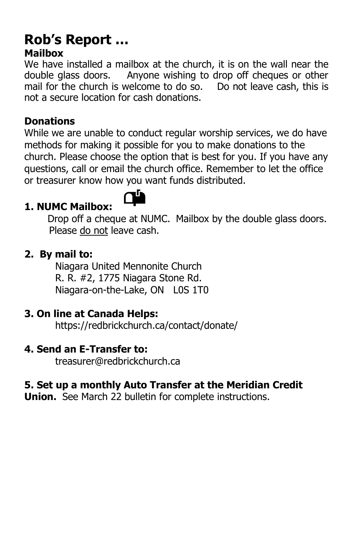# **Rob's Report … Mailbox**

We have installed a mailbox at the church, it is on the wall near the double glass doors. Anyone wishing to drop off cheques or other mail for the church is welcome to do so. Do not leave cash, this is not a secure location for cash donations.

## **Donations**

While we are unable to conduct regular worship services, we do have methods for making it possible for you to make donations to the church. Please choose the option that is best for you. If you have any questions, call or email the church office. Remember to let the office or treasurer know how you want funds distributed.

# **1. NUMC Mailbox:**



Drop off a cheque at NUMC.Mailbox by the double glass doors. Please do not leave cash.

#### **2. By mail to:**

Niagara United Mennonite Church R. R. #2, 1775 Niagara Stone Rd. Niagara-on-the-Lake, ON L0S 1T0

#### **3. On line at Canada Helps:**

<https://redbrickchurch.ca/contact/donate/>

#### **4. Send an E-Transfer to:**

[treasurer@redbrickchurch.ca](mailto:treasurer@redbrickchurch.ca?subject=E-Transfer)

## **5. Set up a monthly Auto Transfer at the Meridian Credit**

**Union.** See March 22 bulletin for complete instructions.